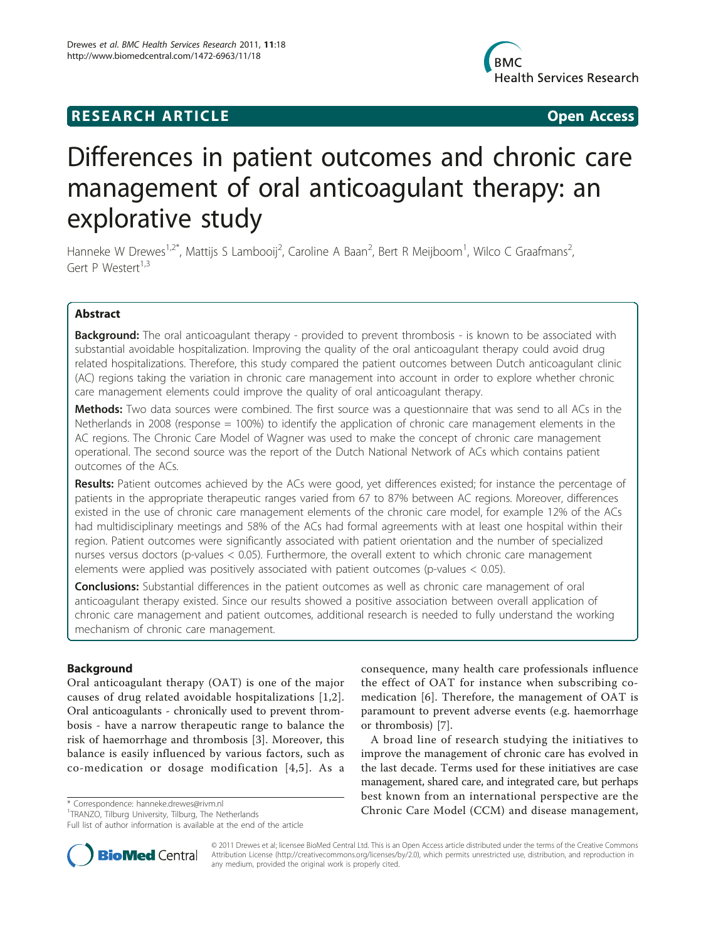## **RESEARCH ARTICLE Example 2018 CONSIDERING ACCESS**



# Differences in patient outcomes and chronic care management of oral anticoagulant therapy: an explorative study

Hanneke W Drewes<sup>1,2\*</sup>, Mattijs S Lambooij<sup>2</sup>, Caroline A Baan<sup>2</sup>, Bert R Meijboom<sup>1</sup>, Wilco C Graafmans<sup>2</sup> , Gert P Westert<sup>1,3</sup>

## Abstract

**Background:** The oral anticoagulant therapy - provided to prevent thrombosis - is known to be associated with substantial avoidable hospitalization. Improving the quality of the oral anticoagulant therapy could avoid drug related hospitalizations. Therefore, this study compared the patient outcomes between Dutch anticoagulant clinic (AC) regions taking the variation in chronic care management into account in order to explore whether chronic care management elements could improve the quality of oral anticoagulant therapy.

Methods: Two data sources were combined. The first source was a questionnaire that was send to all ACs in the Netherlands in 2008 (response = 100%) to identify the application of chronic care management elements in the AC regions. The Chronic Care Model of Wagner was used to make the concept of chronic care management operational. The second source was the report of the Dutch National Network of ACs which contains patient outcomes of the ACs.

Results: Patient outcomes achieved by the ACs were good, yet differences existed; for instance the percentage of patients in the appropriate therapeutic ranges varied from 67 to 87% between AC regions. Moreover, differences existed in the use of chronic care management elements of the chronic care model, for example 12% of the ACs had multidisciplinary meetings and 58% of the ACs had formal agreements with at least one hospital within their region. Patient outcomes were significantly associated with patient orientation and the number of specialized nurses versus doctors (p-values < 0.05). Furthermore, the overall extent to which chronic care management elements were applied was positively associated with patient outcomes (p-values < 0.05).

**Conclusions:** Substantial differences in the patient outcomes as well as chronic care management of oral anticoagulant therapy existed. Since our results showed a positive association between overall application of chronic care management and patient outcomes, additional research is needed to fully understand the working mechanism of chronic care management.

## Background

Oral anticoagulant therapy (OAT) is one of the major causes of drug related avoidable hospitalizations [\[1,2\]](#page-6-0). Oral anticoagulants - chronically used to prevent thrombosis - have a narrow therapeutic range to balance the risk of haemorrhage and thrombosis [[3\]](#page-6-0). Moreover, this balance is easily influenced by various factors, such as co-medication or dosage modification [[4](#page-6-0),[5](#page-6-0)]. As a



A broad line of research studying the initiatives to improve the management of chronic care has evolved in the last decade. Terms used for these initiatives are case management, shared care, and integrated care, but perhaps best known from an international perspective are the \* Correspondence: [hanneke.drewes@rivm.nl](mailto:hanneke.drewes@rivm.nl)<br><sup>1</sup>TRANZO Tilburg University Tilburg The Netherlands **Chronic Care Model (CCM) and disease management,** 



© 2011 Drewes et al; licensee BioMed Central Ltd. This is an Open Access article distributed under the terms of the Creative Commons Attribution License [\(http://creativecommons.org/licenses/by/2.0](http://creativecommons.org/licenses/by/2.0)), which permits unrestricted use, distribution, and reproduction in any medium, provided the original work is properly cited.

<sup>&</sup>lt;sup>1</sup>TRANZO, Tilburg University, Tilburg, The Netherlands

Full list of author information is available at the end of the article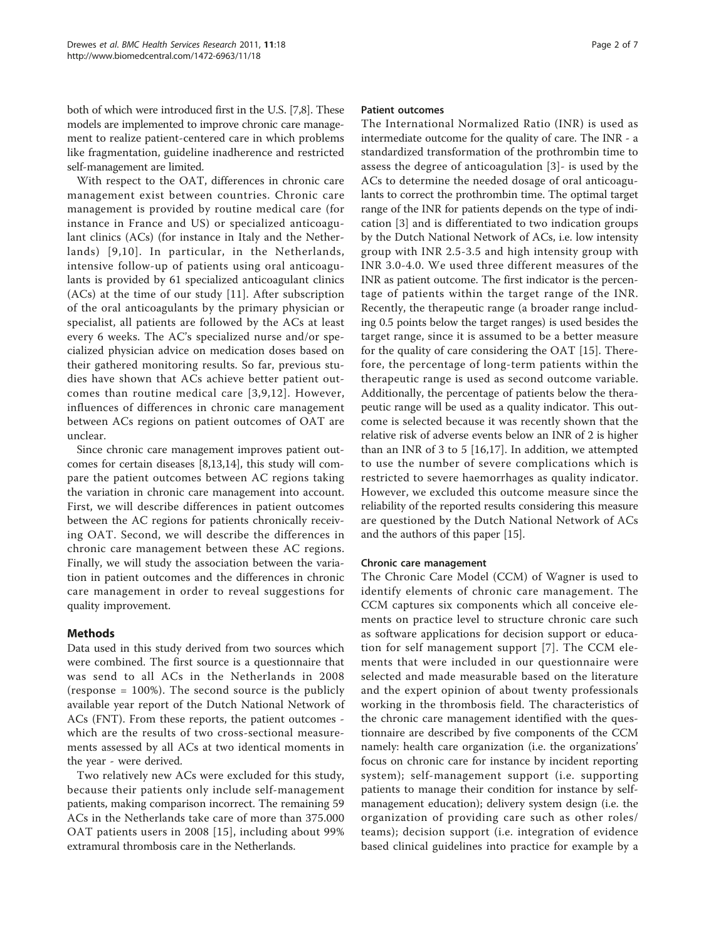both of which were introduced first in the U.S. [\[7,8\]](#page-6-0). These models are implemented to improve chronic care management to realize patient-centered care in which problems like fragmentation, guideline inadherence and restricted self-management are limited.

With respect to the OAT, differences in chronic care management exist between countries. Chronic care management is provided by routine medical care (for instance in France and US) or specialized anticoagulant clinics (ACs) (for instance in Italy and the Netherlands) [[9](#page-6-0),[10\]](#page-6-0). In particular, in the Netherlands, intensive follow-up of patients using oral anticoagulants is provided by 61 specialized anticoagulant clinics (ACs) at the time of our study [\[11](#page-6-0)]. After subscription of the oral anticoagulants by the primary physician or specialist, all patients are followed by the ACs at least every 6 weeks. The AC's specialized nurse and/or specialized physician advice on medication doses based on their gathered monitoring results. So far, previous studies have shown that ACs achieve better patient outcomes than routine medical care [[3,9,12](#page-6-0)]. However, influences of differences in chronic care management between ACs regions on patient outcomes of OAT are unclear.

Since chronic care management improves patient outcomes for certain diseases [[8,13,14\]](#page-6-0), this study will compare the patient outcomes between AC regions taking the variation in chronic care management into account. First, we will describe differences in patient outcomes between the AC regions for patients chronically receiving OAT. Second, we will describe the differences in chronic care management between these AC regions. Finally, we will study the association between the variation in patient outcomes and the differences in chronic care management in order to reveal suggestions for quality improvement.

## Methods

Data used in this study derived from two sources which were combined. The first source is a questionnaire that was send to all ACs in the Netherlands in 2008 (response = 100%). The second source is the publicly available year report of the Dutch National Network of ACs (FNT). From these reports, the patient outcomes which are the results of two cross-sectional measurements assessed by all ACs at two identical moments in the year - were derived.

Two relatively new ACs were excluded for this study, because their patients only include self-management patients, making comparison incorrect. The remaining 59 ACs in the Netherlands take care of more than 375.000 OAT patients users in 2008 [[15](#page-6-0)], including about 99% extramural thrombosis care in the Netherlands.

## Patient outcomes

The International Normalized Ratio (INR) is used as intermediate outcome for the quality of care. The INR - a standardized transformation of the prothrombin time to assess the degree of anticoagulation [[3\]](#page-6-0)- is used by the ACs to determine the needed dosage of oral anticoagulants to correct the prothrombin time. The optimal target range of the INR for patients depends on the type of indication [[3\]](#page-6-0) and is differentiated to two indication groups by the Dutch National Network of ACs, i.e. low intensity group with INR 2.5-3.5 and high intensity group with INR 3.0-4.0. We used three different measures of the INR as patient outcome. The first indicator is the percentage of patients within the target range of the INR. Recently, the therapeutic range (a broader range including 0.5 points below the target ranges) is used besides the target range, since it is assumed to be a better measure for the quality of care considering the OAT [[15\]](#page-6-0). Therefore, the percentage of long-term patients within the therapeutic range is used as second outcome variable. Additionally, the percentage of patients below the therapeutic range will be used as a quality indicator. This outcome is selected because it was recently shown that the relative risk of adverse events below an INR of 2 is higher than an INR of 3 to 5 [\[16](#page-6-0),[17\]](#page-6-0). In addition, we attempted to use the number of severe complications which is restricted to severe haemorrhages as quality indicator. However, we excluded this outcome measure since the reliability of the reported results considering this measure are questioned by the Dutch National Network of ACs and the authors of this paper [\[15\]](#page-6-0).

## Chronic care management

The Chronic Care Model (CCM) of Wagner is used to identify elements of chronic care management. The CCM captures six components which all conceive elements on practice level to structure chronic care such as software applications for decision support or education for self management support [\[7\]](#page-6-0). The CCM elements that were included in our questionnaire were selected and made measurable based on the literature and the expert opinion of about twenty professionals working in the thrombosis field. The characteristics of the chronic care management identified with the questionnaire are described by five components of the CCM namely: health care organization (i.e. the organizations' focus on chronic care for instance by incident reporting system); self-management support (i.e. supporting patients to manage their condition for instance by selfmanagement education); delivery system design (i.e. the organization of providing care such as other roles/ teams); decision support (i.e. integration of evidence based clinical guidelines into practice for example by a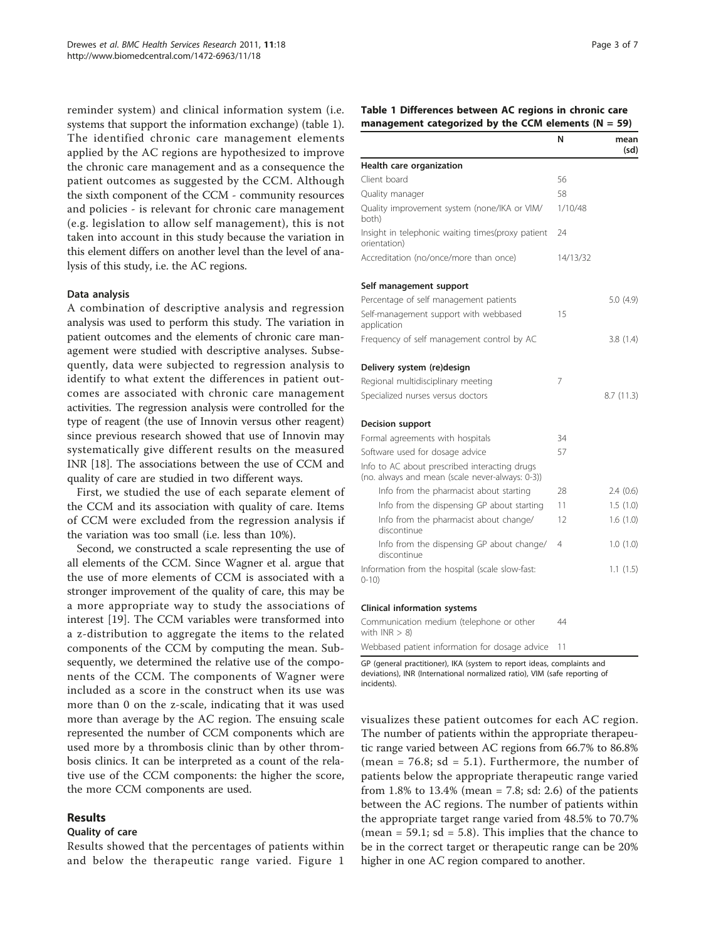<span id="page-2-0"></span>reminder system) and clinical information system (i.e. systems that support the information exchange) (table 1). The identified chronic care management elements applied by the AC regions are hypothesized to improve the chronic care management and as a consequence the patient outcomes as suggested by the CCM. Although the sixth component of the CCM - community resources and policies - is relevant for chronic care management (e.g. legislation to allow self management), this is not taken into account in this study because the variation in this element differs on another level than the level of analysis of this study, i.e. the AC regions.

## Data analysis

A combination of descriptive analysis and regression analysis was used to perform this study. The variation in patient outcomes and the elements of chronic care management were studied with descriptive analyses. Subsequently, data were subjected to regression analysis to identify to what extent the differences in patient outcomes are associated with chronic care management activities. The regression analysis were controlled for the type of reagent (the use of Innovin versus other reagent) since previous research showed that use of Innovin may systematically give different results on the measured INR [[18\]](#page-6-0). The associations between the use of CCM and quality of care are studied in two different ways.

First, we studied the use of each separate element of the CCM and its association with quality of care. Items of CCM were excluded from the regression analysis if the variation was too small (i.e. less than 10%).

Second, we constructed a scale representing the use of all elements of the CCM. Since Wagner et al. argue that the use of more elements of CCM is associated with a stronger improvement of the quality of care, this may be a more appropriate way to study the associations of interest [\[19](#page-6-0)]. The CCM variables were transformed into a z-distribution to aggregate the items to the related components of the CCM by computing the mean. Subsequently, we determined the relative use of the components of the CCM. The components of Wagner were included as a score in the construct when its use was more than 0 on the z-scale, indicating that it was used more than average by the AC region. The ensuing scale represented the number of CCM components which are used more by a thrombosis clinic than by other thrombosis clinics. It can be interpreted as a count of the relative use of the CCM components: the higher the score, the more CCM components are used.

## Results

#### Quality of care

Results showed that the percentages of patients within and below the therapeutic range varied. Figure [1](#page-3-0)

Table 1 Differences between AC regions in chronic care management categorized by the CCM elements ( $N = 59$ )

|                                                                                                  | N        | mean<br>(sd) |
|--------------------------------------------------------------------------------------------------|----------|--------------|
| Health care organization                                                                         |          |              |
| Client board                                                                                     | 56       |              |
| Quality manager                                                                                  | 58       |              |
| Quality improvement system (none/IKA or VIM/<br>both)                                            | 1/10/48  |              |
| Insight in telephonic waiting times(proxy patient<br>orientation)                                | 24       |              |
| Accreditation (no/once/more than once)                                                           | 14/13/32 |              |
| Self management support                                                                          |          |              |
| Percentage of self management patients                                                           |          | 5.0(4.9)     |
| Self-management support with webbased<br>application                                             | 15       |              |
| Frequency of self management control by AC                                                       |          | 3.8(1.4)     |
| Delivery system (re)design                                                                       |          |              |
| Regional multidisciplinary meeting                                                               | 7        |              |
| Specialized nurses versus doctors                                                                |          | 8.7(11.3)    |
| <b>Decision support</b>                                                                          |          |              |
| Formal agreements with hospitals                                                                 | 34       |              |
| Software used for dosage advice                                                                  | 57       |              |
| Info to AC about prescribed interacting drugs<br>(no. always and mean (scale never-always: 0-3)) |          |              |
| Info from the pharmacist about starting                                                          | 28       | 2.4(0.6)     |
| Info from the dispensing GP about starting                                                       | 11       | 1.5(1.0)     |
| Info from the pharmacist about change/<br>discontinue                                            | 12       | 1.6(1.0)     |
| Info from the dispensing GP about change/<br>discontinue                                         | 4        | 1.0(1.0)     |
| Information from the hospital (scale slow-fast:<br>$0 - 10$                                      |          | 1.1(1.5)     |
| <b>Clinical information systems</b>                                                              |          |              |
| Communication medium (telephone or other<br>with $INR > 8$ )                                     | 44       |              |
| Webbased patient information for dosage advice                                                   | 11       |              |

GP (general practitioner), IKA (system to report ideas, complaints and deviations), INR (International normalized ratio), VIM (safe reporting of incidents).

visualizes these patient outcomes for each AC region. The number of patients within the appropriate therapeutic range varied between AC regions from 66.7% to 86.8% (mean = 76.8; sd = 5.1). Furthermore, the number of patients below the appropriate therapeutic range varied from 1.8% to 13.4% (mean = 7.8; sd: 2.6) of the patients between the AC regions. The number of patients within the appropriate target range varied from 48.5% to 70.7% (mean =  $59.1$ ; sd =  $5.8$ ). This implies that the chance to be in the correct target or therapeutic range can be 20% higher in one AC region compared to another.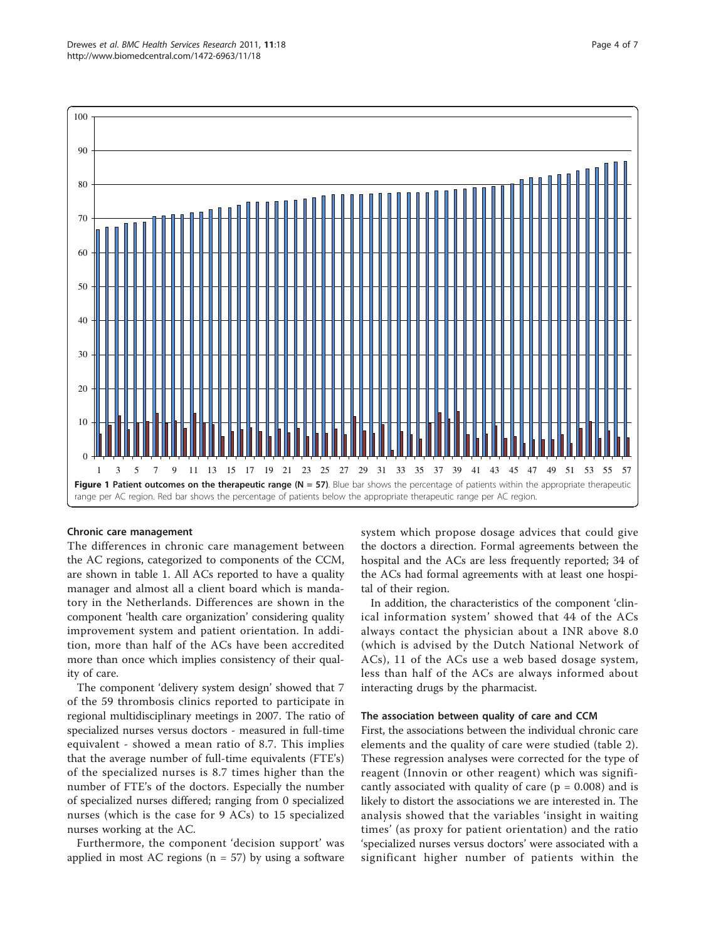<span id="page-3-0"></span>

## Chronic care management

The differences in chronic care management between the AC regions, categorized to components of the CCM, are shown in table [1.](#page-2-0) All ACs reported to have a quality manager and almost all a client board which is mandatory in the Netherlands. Differences are shown in the component 'health care organization' considering quality improvement system and patient orientation. In addition, more than half of the ACs have been accredited more than once which implies consistency of their quality of care.

The component 'delivery system design' showed that 7 of the 59 thrombosis clinics reported to participate in regional multidisciplinary meetings in 2007. The ratio of specialized nurses versus doctors - measured in full-time equivalent - showed a mean ratio of 8.7. This implies that the average number of full-time equivalents (FTE's) of the specialized nurses is 8.7 times higher than the number of FTE's of the doctors. Especially the number of specialized nurses differed; ranging from 0 specialized nurses (which is the case for 9 ACs) to 15 specialized nurses working at the AC.

Furthermore, the component 'decision support' was applied in most AC regions ( $n = 57$ ) by using a software

system which propose dosage advices that could give the doctors a direction. Formal agreements between the hospital and the ACs are less frequently reported; 34 of the ACs had formal agreements with at least one hospital of their region.

In addition, the characteristics of the component 'clinical information system' showed that 44 of the ACs always contact the physician about a INR above 8.0 (which is advised by the Dutch National Network of ACs), 11 of the ACs use a web based dosage system, less than half of the ACs are always informed about interacting drugs by the pharmacist.

#### The association between quality of care and CCM

First, the associations between the individual chronic care elements and the quality of care were studied (table [2\)](#page-4-0). These regression analyses were corrected for the type of reagent (Innovin or other reagent) which was significantly associated with quality of care ( $p = 0.008$ ) and is likely to distort the associations we are interested in. The analysis showed that the variables 'insight in waiting times' (as proxy for patient orientation) and the ratio 'specialized nurses versus doctors' were associated with a significant higher number of patients within the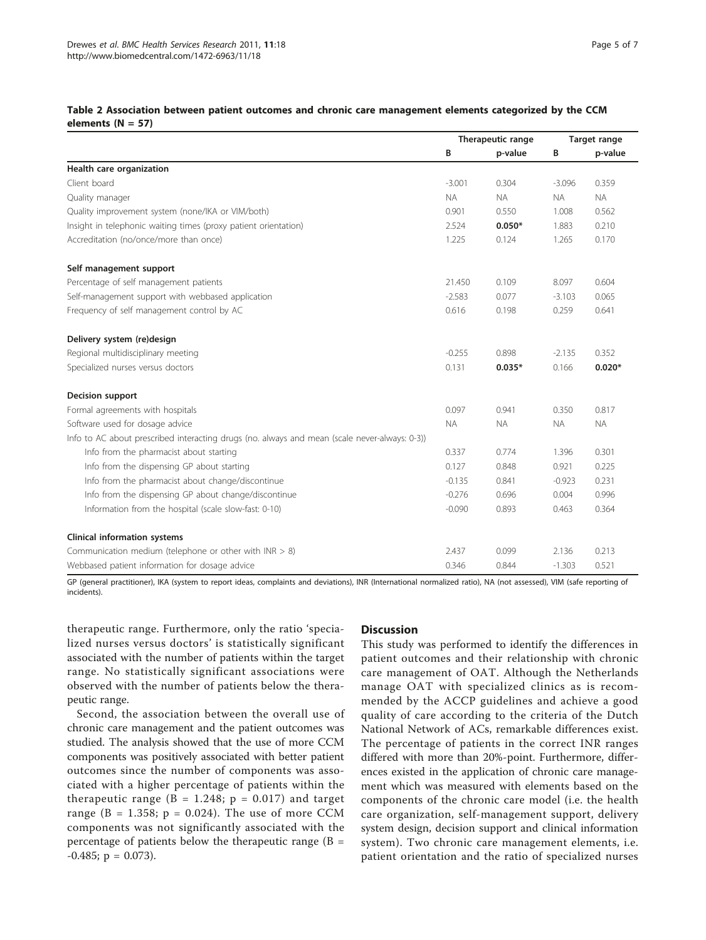|                                                                                               | Therapeutic range |           | Target range |           |
|-----------------------------------------------------------------------------------------------|-------------------|-----------|--------------|-----------|
|                                                                                               | В                 | p-value   | В            | p-value   |
| Health care organization                                                                      |                   |           |              |           |
| Client board                                                                                  | $-3.001$          | 0.304     | $-3.096$     | 0.359     |
| Quality manager                                                                               | <b>NA</b>         | <b>NA</b> | <b>NA</b>    | <b>NA</b> |
| Quality improvement system (none/IKA or VIM/both)                                             | 0.901             | 0.550     | 1.008        | 0.562     |
| Insight in telephonic waiting times (proxy patient orientation)                               | 2.524             | $0.050*$  | 1.883        | 0.210     |
| Accreditation (no/once/more than once)                                                        | 1.225             | 0.124     | 1.265        | 0.170     |
| Self management support                                                                       |                   |           |              |           |
| Percentage of self management patients                                                        | 21.450            | 0.109     | 8.097        | 0.604     |
| Self-management support with webbased application                                             | $-2.583$          | 0.077     | $-3.103$     | 0.065     |
| Frequency of self management control by AC                                                    | 0.616             | 0.198     | 0.259        | 0.641     |
| Delivery system (re)design                                                                    |                   |           |              |           |
| Regional multidisciplinary meeting                                                            | $-0.255$          | 0.898     | $-2.135$     | 0.352     |
| Specialized nurses versus doctors                                                             | 0.131             | $0.035*$  | 0.166        | $0.020*$  |
| Decision support                                                                              |                   |           |              |           |
| Formal agreements with hospitals                                                              | 0.097             | 0.941     | 0.350        | 0.817     |
| Software used for dosage advice                                                               | <b>NA</b>         | <b>NA</b> | <b>NA</b>    | <b>NA</b> |
| Info to AC about prescribed interacting drugs (no. always and mean (scale never-always: 0-3)) |                   |           |              |           |
| Info from the pharmacist about starting                                                       | 0.337             | 0.774     | 1.396        | 0.301     |
| Info from the dispensing GP about starting                                                    | 0.127             | 0.848     | 0.921        | 0.225     |
| Info from the pharmacist about change/discontinue                                             | $-0.135$          | 0.841     | $-0.923$     | 0.231     |
| Info from the dispensing GP about change/discontinue                                          | $-0.276$          | 0.696     | 0.004        | 0.996     |
| Information from the hospital (scale slow-fast: 0-10)                                         | $-0.090$          | 0.893     | 0.463        | 0.364     |
| <b>Clinical information systems</b>                                                           |                   |           |              |           |
| Communication medium (telephone or other with $INR > 8$ )                                     | 2.437             | 0.099     | 2.136        | 0.213     |
| Webbased patient information for dosage advice                                                | 0.346             | 0.844     | $-1.303$     | 0.521     |

## <span id="page-4-0"></span>Table 2 Association between patient outcomes and chronic care management elements categorized by the CCM elements ( $N = 57$ )

GP (general practitioner), IKA (system to report ideas, complaints and deviations), INR (International normalized ratio), NA (not assessed), VIM (safe reporting of incidents).

therapeutic range. Furthermore, only the ratio 'specialized nurses versus doctors' is statistically significant associated with the number of patients within the target range. No statistically significant associations were observed with the number of patients below the therapeutic range.

Second, the association between the overall use of chronic care management and the patient outcomes was studied. The analysis showed that the use of more CCM components was positively associated with better patient outcomes since the number of components was associated with a higher percentage of patients within the therapeutic range ( $B = 1.248$ ;  $p = 0.017$ ) and target range ( $B = 1.358$ ;  $p = 0.024$ ). The use of more CCM components was not significantly associated with the percentage of patients below the therapeutic range  $(B =$  $-0.485$ ; p = 0.073).

## **Discussion**

This study was performed to identify the differences in patient outcomes and their relationship with chronic care management of OAT. Although the Netherlands manage OAT with specialized clinics as is recommended by the ACCP guidelines and achieve a good quality of care according to the criteria of the Dutch National Network of ACs, remarkable differences exist. The percentage of patients in the correct INR ranges differed with more than 20%-point. Furthermore, differences existed in the application of chronic care management which was measured with elements based on the components of the chronic care model (i.e. the health care organization, self-management support, delivery system design, decision support and clinical information system). Two chronic care management elements, i.e. patient orientation and the ratio of specialized nurses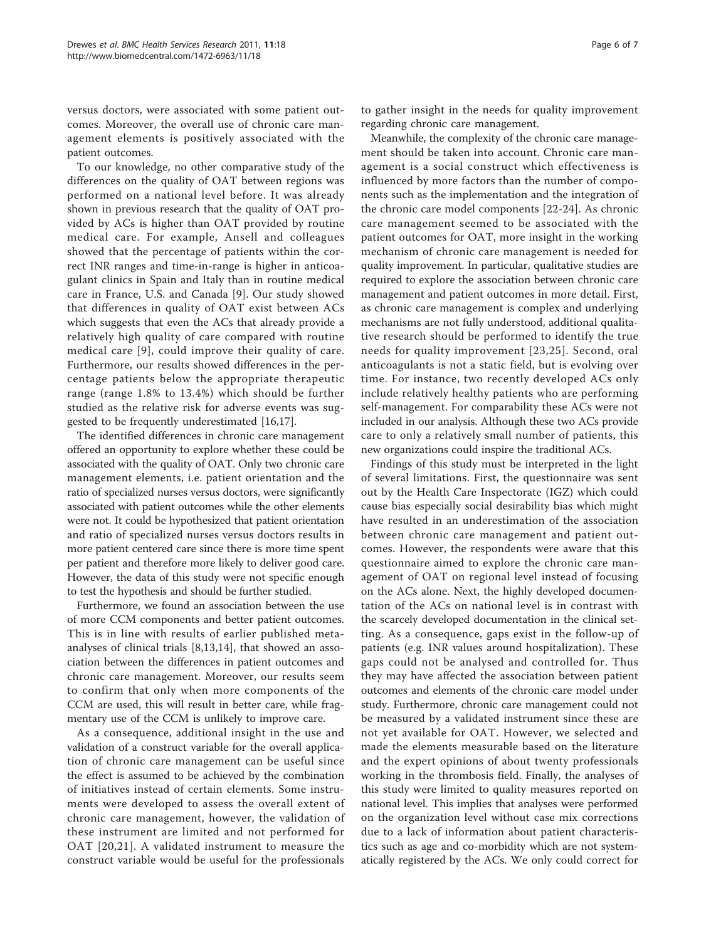versus doctors, were associated with some patient outcomes. Moreover, the overall use of chronic care management elements is positively associated with the patient outcomes.

To our knowledge, no other comparative study of the differences on the quality of OAT between regions was performed on a national level before. It was already shown in previous research that the quality of OAT provided by ACs is higher than OAT provided by routine medical care. For example, Ansell and colleagues showed that the percentage of patients within the correct INR ranges and time-in-range is higher in anticoagulant clinics in Spain and Italy than in routine medical care in France, U.S. and Canada [\[9](#page-6-0)]. Our study showed that differences in quality of OAT exist between ACs which suggests that even the ACs that already provide a relatively high quality of care compared with routine medical care [[9](#page-6-0)], could improve their quality of care. Furthermore, our results showed differences in the percentage patients below the appropriate therapeutic range (range 1.8% to 13.4%) which should be further studied as the relative risk for adverse events was suggested to be frequently underestimated [\[16,17](#page-6-0)].

The identified differences in chronic care management offered an opportunity to explore whether these could be associated with the quality of OAT. Only two chronic care management elements, i.e. patient orientation and the ratio of specialized nurses versus doctors, were significantly associated with patient outcomes while the other elements were not. It could be hypothesized that patient orientation and ratio of specialized nurses versus doctors results in more patient centered care since there is more time spent per patient and therefore more likely to deliver good care. However, the data of this study were not specific enough to test the hypothesis and should be further studied.

Furthermore, we found an association between the use of more CCM components and better patient outcomes. This is in line with results of earlier published metaanalyses of clinical trials [[8,13,14\]](#page-6-0), that showed an association between the differences in patient outcomes and chronic care management. Moreover, our results seem to confirm that only when more components of the CCM are used, this will result in better care, while fragmentary use of the CCM is unlikely to improve care.

As a consequence, additional insight in the use and validation of a construct variable for the overall application of chronic care management can be useful since the effect is assumed to be achieved by the combination of initiatives instead of certain elements. Some instruments were developed to assess the overall extent of chronic care management, however, the validation of these instrument are limited and not performed for OAT [[20](#page-6-0),[21](#page-6-0)]. A validated instrument to measure the construct variable would be useful for the professionals to gather insight in the needs for quality improvement regarding chronic care management.

Meanwhile, the complexity of the chronic care management should be taken into account. Chronic care management is a social construct which effectiveness is influenced by more factors than the number of components such as the implementation and the integration of the chronic care model components [\[22](#page-6-0)-[24\]](#page-6-0). As chronic care management seemed to be associated with the patient outcomes for OAT, more insight in the working mechanism of chronic care management is needed for quality improvement. In particular, qualitative studies are required to explore the association between chronic care management and patient outcomes in more detail. First, as chronic care management is complex and underlying mechanisms are not fully understood, additional qualitative research should be performed to identify the true needs for quality improvement [[23,25](#page-6-0)]. Second, oral anticoagulants is not a static field, but is evolving over time. For instance, two recently developed ACs only include relatively healthy patients who are performing self-management. For comparability these ACs were not included in our analysis. Although these two ACs provide care to only a relatively small number of patients, this new organizations could inspire the traditional ACs.

Findings of this study must be interpreted in the light of several limitations. First, the questionnaire was sent out by the Health Care Inspectorate (IGZ) which could cause bias especially social desirability bias which might have resulted in an underestimation of the association between chronic care management and patient outcomes. However, the respondents were aware that this questionnaire aimed to explore the chronic care management of OAT on regional level instead of focusing on the ACs alone. Next, the highly developed documentation of the ACs on national level is in contrast with the scarcely developed documentation in the clinical setting. As a consequence, gaps exist in the follow-up of patients (e.g. INR values around hospitalization). These gaps could not be analysed and controlled for. Thus they may have affected the association between patient outcomes and elements of the chronic care model under study. Furthermore, chronic care management could not be measured by a validated instrument since these are not yet available for OAT. However, we selected and made the elements measurable based on the literature and the expert opinions of about twenty professionals working in the thrombosis field. Finally, the analyses of this study were limited to quality measures reported on national level. This implies that analyses were performed on the organization level without case mix corrections due to a lack of information about patient characteristics such as age and co-morbidity which are not systematically registered by the ACs. We only could correct for